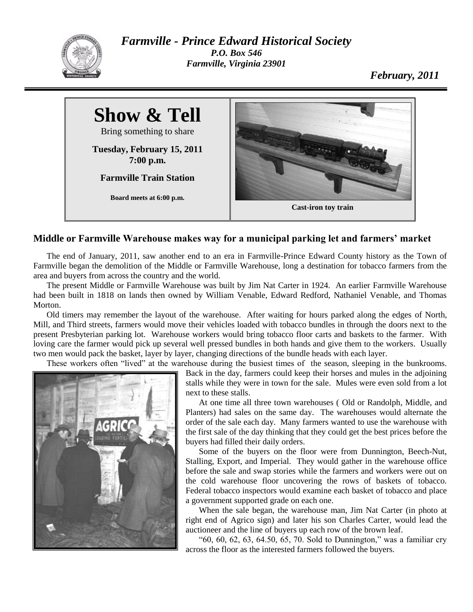

*Farmville - Prince Edward Historical Society P.O. Box 546 Farmville, Virginia 23901*

*February, 2011*



## **Middle or Farmville Warehouse makes way for a municipal parking let and farmers' market**

The end of January, 2011, saw another end to an era in Farmville-Prince Edward County history as the Town of Farmville began the demolition of the Middle or Farmville Warehouse, long a destination for tobacco farmers from the area and buyers from across the country and the world.

The present Middle or Farmville Warehouse was built by Jim Nat Carter in 1924. An earlier Farmville Warehouse had been built in 1818 on lands then owned by William Venable, Edward Redford, Nathaniel Venable, and Thomas Morton.

Old timers may remember the layout of the warehouse. After waiting for hours parked along the edges of North, Mill, and Third streets, farmers would move their vehicles loaded with tobacco bundles in through the doors next to the present Presbyterian parking lot. Warehouse workers would bring tobacco floor carts and baskets to the farmer. With loving care the farmer would pick up several well pressed bundles in both hands and give them to the workers. Usually two men would pack the basket, layer by layer, changing directions of the bundle heads with each layer.

These workers often "lived" at the warehouse during the busiest times of the season, sleeping in the bunkrooms.



Back in the day, farmers could keep their horses and mules in the adjoining stalls while they were in town for the sale. Mules were even sold from a lot next to these stalls.

At one time all three town warehouses ( Old or Randolph, Middle, and Planters) had sales on the same day. The warehouses would alternate the order of the sale each day. Many farmers wanted to use the warehouse with the first sale of the day thinking that they could get the best prices before the buyers had filled their daily orders.

Some of the buyers on the floor were from Dunnington, Beech-Nut, Stalling, Export, and Imperial. They would gather in the warehouse office before the sale and swap stories while the farmers and workers were out on the cold warehouse floor uncovering the rows of baskets of tobacco. Federal tobacco inspectors would examine each basket of tobacco and place a government supported grade on each one.

When the sale began, the warehouse man, Jim Nat Carter (in photo at right end of Agrico sign) and later his son Charles Carter, would lead the auctioneer and the line of buyers up each row of the brown leaf.

"60, 60, 62, 63, 64.50, 65, 70. Sold to Dunnington," was a familiar cry across the floor as the interested farmers followed the buyers.